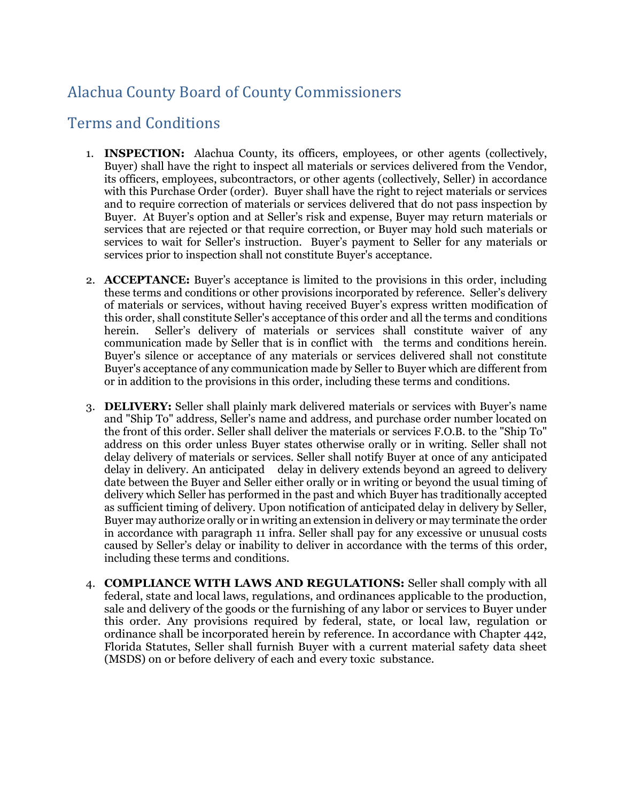## Alachua County Board of County Commissioners

## Terms and Conditions

- 1. **INSPECTION:** Alachua County, its officers, employees, or other agents (collectively, Buyer) shall have the right to inspect all materials or services delivered from the Vendor, its officers, employees, subcontractors, or other agents (collectively, Seller) in accordance with this Purchase Order (order). Buyer shall have the right to reject materials or services and to require correction of materials or services delivered that do not pass inspection by Buyer. At Buyer's option and at Seller's risk and expense, Buyer may return materials or services that are rejected or that require correction, or Buyer may hold such materials or services to wait for Seller's instruction. Buyer's payment to Seller for any materials or services prior to inspection shall not constitute Buyer's acceptance.
- 2. **ACCEPTANCE:** Buyer's acceptance is limited to the provisions in this order, including these terms and conditions or other provisions incorporated by reference. Seller's delivery of materials or services, without having received Buyer's express written modification of this order, shall constitute Seller's acceptance of this order and all the terms and conditions herein. Seller's delivery of materials or services shall constitute waiver of any communication made by Seller that is in conflict with the terms and conditions herein. Buyer's silence or acceptance of any materials or services delivered shall not constitute Buyer's acceptance of any communication made by Seller to Buyer which are different from or in addition to the provisions in this order, including these terms and conditions.
- 3. **DELIVERY:** Seller shall plainly mark delivered materials or services with Buyer's name and "Ship To" address, Seller's name and address, and purchase order number located on the front of this order. Seller shall deliver the materials or services F.O.B. to the "Ship To" address on this order unless Buyer states otherwise orally or in writing. Seller shall not delay delivery of materials or services. Seller shall notify Buyer at once of any anticipated delay in delivery. An anticipated delay in delivery extends beyond an agreed to delivery date between the Buyer and Seller either orally or in writing or beyond the usual timing of delivery which Seller has performed in the past and which Buyer has traditionally accepted as sufficient timing of delivery. Upon notification of anticipated delay in delivery by Seller, Buyer may authorize orally or in writing an extension in delivery or may terminate the order in accordance with paragraph 11 infra. Seller shall pay for any excessive or unusual costs caused by Seller's delay or inability to deliver in accordance with the terms of this order, including these terms and conditions.
- 4. **COMPLIANCE WITH LAWS AND REGULATIONS:** Seller shall comply with all federal, state and local laws, regulations, and ordinances applicable to the production, sale and delivery of the goods or the furnishing of any labor or services to Buyer under this order. Any provisions required by federal, state, or local law, regulation or ordinance shall be incorporated herein by reference. In accordance with Chapter 442, Florida Statutes, Seller shall furnish Buyer with a current material safety data sheet (MSDS) on or before delivery of each and every toxic substance.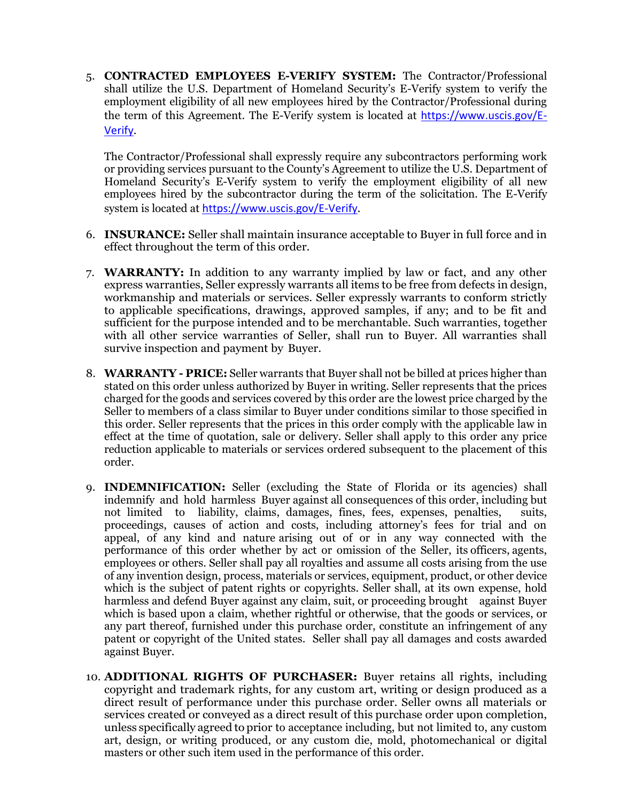5. **CONTRACTED EMPLOYEES E-VERIFY SYSTEM:** The Contractor/Professional shall utilize the U.S. Department of Homeland Security's E-Verify system to verify the employment eligibility of all new employees hired by the Contractor/Professional during the term of this Agreement. The E-Verify system is located at [https://www.uscis.gov/E-](https://www.uscis.gov/E-Verify)[Verify](https://www.uscis.gov/E-Verify).

The Contractor/Professional shall expressly require any subcontractors performing work or providing services pursuant to the County's Agreement to utilize the U.S. Department of Homeland Security's E-Verify system to verify the employment eligibility of all new employees hired by the subcontractor during the term of the solicitation. The E-Verify system is located at <https://www.uscis.gov/E-Verify>.

- 6. **INSURANCE:** Seller shall maintain insurance acceptable to Buyer in full force and in effect throughout the term of this order.
- 7. **WARRANTY:** In addition to any warranty implied by law or fact, and any other express warranties, Seller expressly warrants all items to be free from defects in design, workmanship and materials or services. Seller expressly warrants to conform strictly to applicable specifications, drawings, approved samples, if any; and to be fit and sufficient for the purpose intended and to be merchantable. Such warranties, together with all other service warranties of Seller, shall run to Buyer. All warranties shall survive inspection and payment by Buyer.
- 8. **WARRANTY - PRICE:** Seller warrants that Buyer shall not be billed at prices higher than stated on this order unless authorized by Buyer in writing. Seller represents that the prices charged for the goods and services covered by this order are the lowest price charged by the Seller to members of a class similar to Buyer under conditions similar to those specified in this order. Seller represents that the prices in this order comply with the applicable law in effect at the time of quotation, sale or delivery. Seller shall apply to this order any price reduction applicable to materials or services ordered subsequent to the placement of this order.
- 9. **INDEMNIFICATION:** Seller (excluding the State of Florida or its agencies) shall indemnify and hold harmless Buyer against all consequences of this order, including but not limited to liability, claims, damages, fines, fees, expenses, penalties, suits, proceedings, causes of action and costs, including attorney's fees for trial and on appeal, of any kind and nature arising out of or in any way connected with the performance of this order whether by act or omission of the Seller, its officers, agents, employees or others. Seller shall pay all royalties and assume all costs arising from the use of any invention design, process, materials or services, equipment, product, or other device which is the subject of patent rights or copyrights. Seller shall, at its own expense, hold harmless and defend Buyer against any claim, suit, or proceeding brought against Buyer which is based upon a claim, whether rightful or otherwise, that the goods or services, or any part thereof, furnished under this purchase order, constitute an infringement of any patent or copyright of the United states. Seller shall pay all damages and costs awarded against Buyer.
- 10. **ADDITIONAL RIGHTS OF PURCHASER:** Buyer retains all rights, including copyright and trademark rights, for any custom art, writing or design produced as a direct result of performance under this purchase order. Seller owns all materials or services created or conveyed as a direct result of this purchase order upon completion, unless specifically agreed to prior to acceptance including, but not limited to, any custom art, design, or writing produced, or any custom die, mold, photomechanical or digital masters or other such item used in the performance of this order.